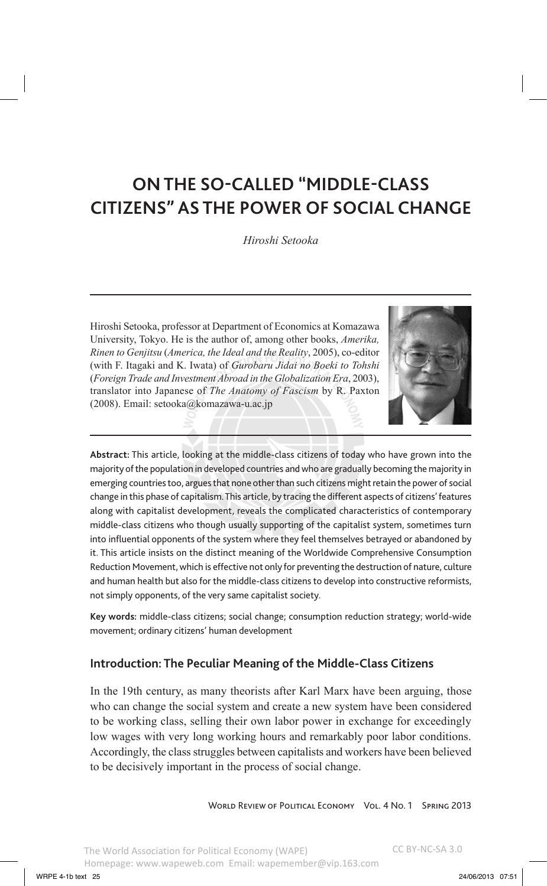# **ON THE SO-CALLED "MIDDLE-CLASS CITIZENS" AS THE POWER OF SOCIAL CHANGE**

*Hiroshi Setooka*

Hiroshi Setooka, professor at Department of Economics at Komazawa University, Tokyo. He is the author of, among other books, *Amerika, Rinen to Genjitsu* (*America, the Ideal and the Reality*, 2005), co-editor (with F. Itagaki and K. Iwata) of *Gurobaru Jidai no Boeki to Tohshi* (*Foreign Trade and Investment Abroad in the Globalization Era*, 2003), translator into Japanese of *The Anatomy of Fascism* by R. Paxton (2008). Email: setooka@komazawa-u.ac.jp



**Abstract:** This article, looking at the middle-class citizens of today who have grown into the majority of the population in developed countries and who are gradually becoming the majority in emerging countries too, argues that none other than such citizens might retain the power of social change in this phase of capitalism. This article, by tracing the different aspects of citizens' features along with capitalist development, reveals the complicated characteristics of contemporary middle-class citizens who though usually supporting of the capitalist system, sometimes turn into influential opponents of the system where they feel themselves betrayed or abandoned by it. This article insists on the distinct meaning of the Worldwide Comprehensive Consumption Reduction Movement, which is effective not only for preventing the destruction of nature, culture and human health but also for the middle-class citizens to develop into constructive reformists, not simply opponents, of the very same capitalist society.

**Key words:** middle-class citizens; social change; consumption reduction strategy; world-wide movement; ordinary citizens' human development

### **Introduction: The Peculiar Meaning of the Middle-Class Citizens**

In the 19th century, as many theorists after Karl Marx have been arguing, those who can change the social system and create a new system have been considered to be working class, selling their own labor power in exchange for exceedingly low wages with very long working hours and remarkably poor labor conditions. Accordingly, the class struggles between capitalists and workers have been believed to be decisively important in the process of social change.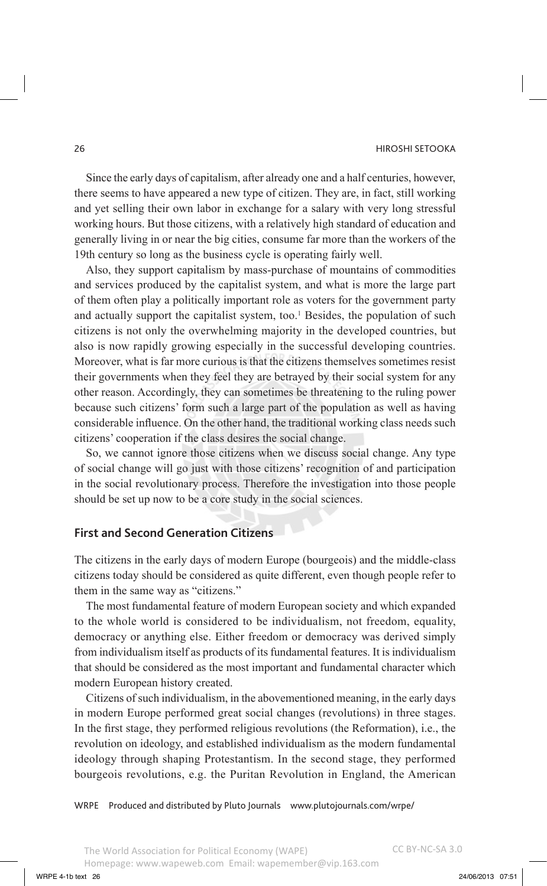Since the early days of capitalism, after already one and a half centuries, however, there seems to have appeared a new type of citizen. They are, in fact, still working and yet selling their own labor in exchange for a salary with very long stressful working hours. But those citizens, with a relatively high standard of education and generally living in or near the big cities, consume far more than the workers of the 19th century so long as the business cycle is operating fairly well.

Also, they support capitalism by mass-purchase of mountains of commodities and services produced by the capitalist system, and what is more the large part of them often play a politically important role as voters for the government party and actually support the capitalist system, too.<sup>1</sup> Besides, the population of such citizens is not only the overwhelming majority in the developed countries, but also is now rapidly growing especially in the successful developing countries. Moreover, what is far more curious is that the citizens themselves sometimes resist their governments when they feel they are betrayed by their social system for any other reason. Accordingly, they can sometimes be threatening to the ruling power because such citizens' form such a large part of the population as well as having considerable influence. On the other hand, the traditional working class needs such citizens' cooperation if the class desires the social change.

So, we cannot ignore those citizens when we discuss social change. Any type of social change will go just with those citizens' recognition of and participation in the social revolutionary process. Therefore the investigation into those people should be set up now to be a core study in the social sciences.

### **First and Second Generation Citizens**

The citizens in the early days of modern Europe (bourgeois) and the middle-class citizens today should be considered as quite different, even though people refer to them in the same way as "citizens."

The most fundamental feature of modern European society and which expanded to the whole world is considered to be individualism, not freedom, equality, democracy or anything else. Either freedom or democracy was derived simply from individualism itself as products of its fundamental features. It is individualism that should be considered as the most important and fundamental character which modern European history created.

Citizens of such individualism, in the abovementioned meaning, in the early days in modern Europe performed great social changes (revolutions) in three stages. In the first stage, they performed religious revolutions (the Reformation), i.e., the revolution on ideology, and established individualism as the modern fundamental ideology through shaping Protestantism. In the second stage, they performed bourgeois revolutions, e.g. the Puritan Revolution in England, the American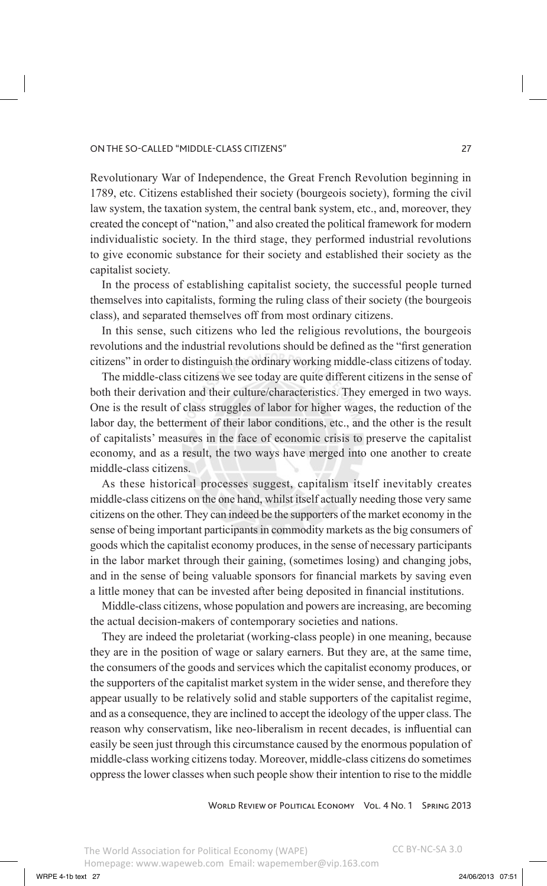Revolutionary War of Independence, the Great French Revolution beginning in 1789, etc. Citizens established their society (bourgeois society), forming the civil law system, the taxation system, the central bank system, etc., and, moreover, they created the concept of "nation," and also created the political framework for modern individualistic society. In the third stage, they performed industrial revolutions to give economic substance for their society and established their society as the capitalist society.

In the process of establishing capitalist society, the successful people turned themselves into capitalists, forming the ruling class of their society (the bourgeois class), and separated themselves off from most ordinary citizens.

In this sense, such citizens who led the religious revolutions, the bourgeois revolutions and the industrial revolutions should be defined as the "first generation citizens" in order to distinguish the ordinary working middle-class citizens of today.

The middle-class citizens we see today are quite different citizens in the sense of both their derivation and their culture/characteristics. They emerged in two ways. One is the result of class struggles of labor for higher wages, the reduction of the labor day, the betterment of their labor conditions, etc., and the other is the result of capitalists' measures in the face of economic crisis to preserve the capitalist economy, and as a result, the two ways have merged into one another to create middle-class citizens.

As these historical processes suggest, capitalism itself inevitably creates middle-class citizens on the one hand, whilst itself actually needing those very same citizens on the other. They can indeed be the supporters of the market economy in the sense of being important participants in commodity markets as the big consumers of goods which the capitalist economy produces, in the sense of necessary participants in the labor market through their gaining, (sometimes losing) and changing jobs, and in the sense of being valuable sponsors for financial markets by saving even a little money that can be invested after being deposited in financial institutions.

Middle-class citizens, whose population and powers are increasing, are becoming the actual decision-makers of contemporary societies and nations.

They are indeed the proletariat (working-class people) in one meaning, because they are in the position of wage or salary earners. But they are, at the same time, the consumers of the goods and services which the capitalist economy produces, or the supporters of the capitalist market system in the wider sense, and therefore they appear usually to be relatively solid and stable supporters of the capitalist regime, and as a consequence, they are inclined to accept the ideology of the upper class. The reason why conservatism, like neo-liberalism in recent decades, is influential can easily be seen just through this circumstance caused by the enormous population of middle-class working citizens today. Moreover, middle-class citizens do sometimes oppress the lower classes when such people show their intention to rise to the middle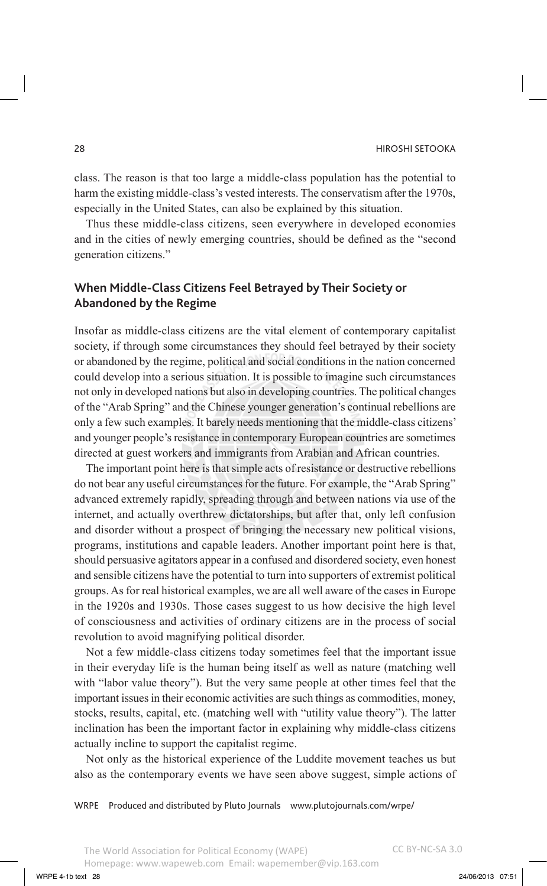class. The reason is that too large a middle-class population has the potential to harm the existing middle-class's vested interests. The conservatism after the 1970s, especially in the United States, can also be explained by this situation.

Thus these middle-class citizens, seen everywhere in developed economies and in the cities of newly emerging countries, should be defined as the "second generation citizens."

## **When Middle-Class Citizens Feel Betrayed by Their Society or Abandoned by the Regime**

Insofar as middle-class citizens are the vital element of contemporary capitalist society, if through some circumstances they should feel betrayed by their society or abandoned by the regime, political and social conditions in the nation concerned could develop into a serious situation. It is possible to imagine such circumstances not only in developed nations but also in developing countries. The political changes of the "Arab Spring" and the Chinese younger generation's continual rebellions are only a few such examples. It barely needs mentioning that the middle-class citizens' and younger people's resistance in contemporary European countries are sometimes directed at guest workers and immigrants from Arabian and African countries.

The important point here is that simple acts of resistance or destructive rebellions do not bear any useful circumstances for the future. For example, the "Arab Spring" advanced extremely rapidly, spreading through and between nations via use of the internet, and actually overthrew dictatorships, but after that, only left confusion and disorder without a prospect of bringing the necessary new political visions, programs, institutions and capable leaders. Another important point here is that, should persuasive agitators appear in a confused and disordered society, even honest and sensible citizens have the potential to turn into supporters of extremist political groups. As for real historical examples, we are all well aware of the cases in Europe in the 1920s and 1930s. Those cases suggest to us how decisive the high level of consciousness and activities of ordinary citizens are in the process of social revolution to avoid magnifying political disorder.

Not a few middle-class citizens today sometimes feel that the important issue in their everyday life is the human being itself as well as nature (matching well with "labor value theory"). But the very same people at other times feel that the important issues in their economic activities are such things as commodities, money, stocks, results, capital, etc. (matching well with "utility value theory"). The latter inclination has been the important factor in explaining why middle-class citizens actually incline to support the capitalist regime.

Not only as the historical experience of the Luddite movement teaches us but also as the contemporary events we have seen above suggest, simple actions of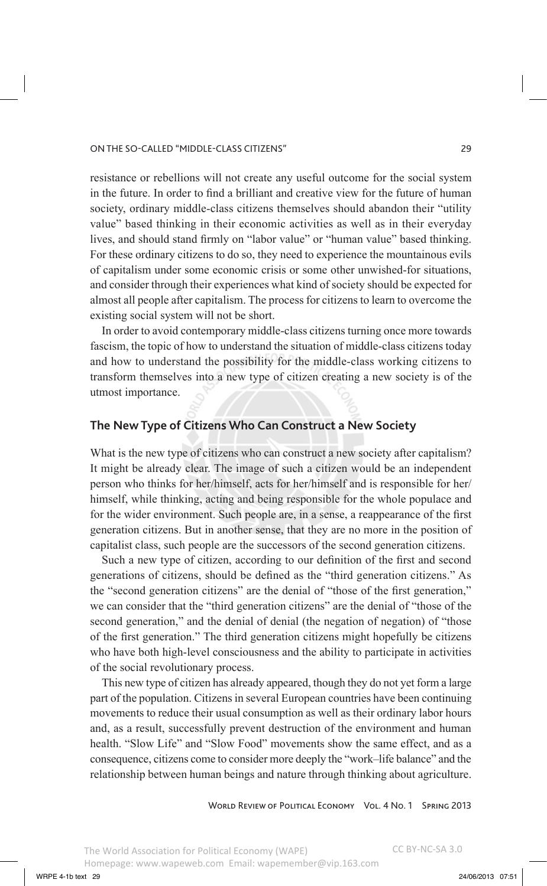resistance or rebellions will not create any useful outcome for the social system in the future. In order to find a brilliant and creative view for the future of human society, ordinary middle-class citizens themselves should abandon their "utility value" based thinking in their economic activities as well as in their everyday lives, and should stand firmly on "labor value" or "human value" based thinking. For these ordinary citizens to do so, they need to experience the mountainous evils of capitalism under some economic crisis or some other unwished-for situations, and consider through their experiences what kind of society should be expected for almost all people after capitalism. The process for citizens to learn to overcome the existing social system will not be short.

In order to avoid contemporary middle-class citizens turning once more towards fascism, the topic of how to understand the situation of middle-class citizens today and how to understand the possibility for the middle-class working citizens to transform themselves into a new type of citizen creating a new society is of the utmost importance.

### **The New Type of Citizens Who Can Construct a New Society**

What is the new type of citizens who can construct a new society after capitalism? It might be already clear. The image of such a citizen would be an independent person who thinks for her/himself, acts for her/himself and is responsible for her/ himself, while thinking, acting and being responsible for the whole populace and for the wider environment. Such people are, in a sense, a reappearance of the first generation citizens. But in another sense, that they are no more in the position of capitalist class, such people are the successors of the second generation citizens.

Such a new type of citizen, according to our definition of the first and second generations of citizens, should be defined as the "third generation citizens." As the "second generation citizens" are the denial of "those of the first generation," we can consider that the "third generation citizens" are the denial of "those of the second generation," and the denial of denial (the negation of negation) of "those of the first generation." The third generation citizens might hopefully be citizens who have both high-level consciousness and the ability to participate in activities of the social revolutionary process.

This new type of citizen has already appeared, though they do not yet form a large part of the population. Citizens in several European countries have been continuing movements to reduce their usual consumption as well as their ordinary labor hours and, as a result, successfully prevent destruction of the environment and human health. "Slow Life" and "Slow Food" movements show the same effect, and as a consequence, citizens come to consider more deeply the "work–life balance" and the relationship between human beings and nature through thinking about agriculture.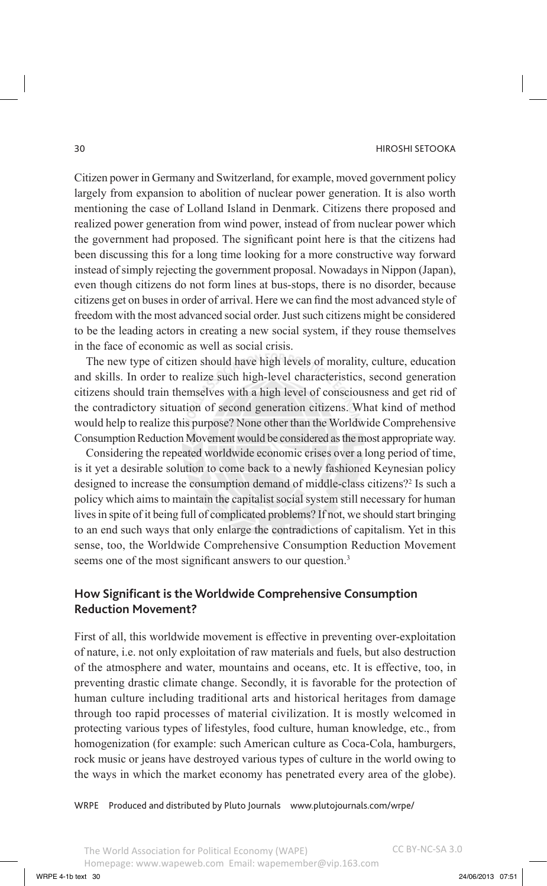Citizen power in Germany and Switzerland, for example, moved government policy largely from expansion to abolition of nuclear power generation. It is also worth mentioning the case of Lolland Island in Denmark. Citizens there proposed and realized power generation from wind power, instead of from nuclear power which the government had proposed. The significant point here is that the citizens had been discussing this for a long time looking for a more constructive way forward instead of simply rejecting the government proposal. Nowadays in Nippon (Japan), even though citizens do not form lines at bus-stops, there is no disorder, because citizens get on buses in order of arrival. Here we can find the most advanced style of freedom with the most advanced social order. Just such citizens might be considered to be the leading actors in creating a new social system, if they rouse themselves in the face of economic as well as social crisis.

The new type of citizen should have high levels of morality, culture, education and skills. In order to realize such high-level characteristics, second generation citizens should train themselves with a high level of consciousness and get rid of the contradictory situation of second generation citizens. What kind of method would help to realize this purpose? None other than the Worldwide Comprehensive Consumption Reduction Movement would be considered as the most appropriate way.

Considering the repeated worldwide economic crises over a long period of time, is it yet a desirable solution to come back to a newly fashioned Keynesian policy designed to increase the consumption demand of middle-class citizens?<sup>2</sup> Is such a policy which aims to maintain the capitalist social system still necessary for human lives in spite of it being full of complicated problems? If not, we should start bringing to an end such ways that only enlarge the contradictions of capitalism. Yet in this sense, too, the Worldwide Comprehensive Consumption Reduction Movement seems one of the most significant answers to our question.<sup>3</sup>

### **How Significant is the Worldwide Comprehensive Consumption Reduction Movement?**

First of all, this worldwide movement is effective in preventing over-exploitation of nature, i.e. not only exploitation of raw materials and fuels, but also destruction of the atmosphere and water, mountains and oceans, etc. It is effective, too, in preventing drastic climate change. Secondly, it is favorable for the protection of human culture including traditional arts and historical heritages from damage through too rapid processes of material civilization. It is mostly welcomed in protecting various types of lifestyles, food culture, human knowledge, etc., from homogenization (for example: such American culture as Coca-Cola, hamburgers, rock music or jeans have destroyed various types of culture in the world owing to the ways in which the market economy has penetrated every area of the globe).

WRPE Produced and distributed by Pluto Journals www.plutojournals.com/wrpe/

The World Association for Political Economy (WAPE) Homepage: www.wapeweb.com Email: wapemember@vip.163.com CC BY-NC-SA 3.0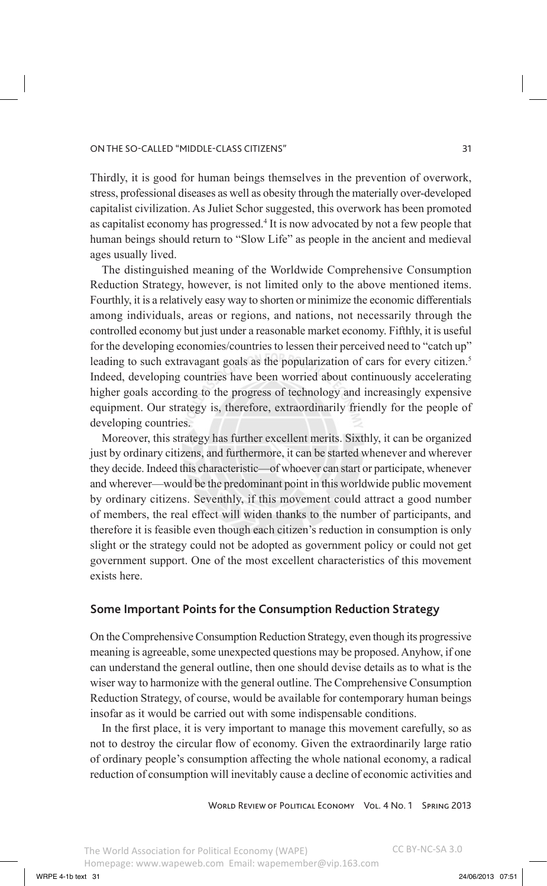Thirdly, it is good for human beings themselves in the prevention of overwork, stress, professional diseases as well as obesity through the materially over-developed capitalist civilization. As Juliet Schor suggested, this overwork has been promoted as capitalist economy has progressed.4 It is now advocated by not a few people that human beings should return to "Slow Life" as people in the ancient and medieval ages usually lived.

The distinguished meaning of the Worldwide Comprehensive Consumption Reduction Strategy, however, is not limited only to the above mentioned items. Fourthly, it is a relatively easy way to shorten or minimize the economic differentials among individuals, areas or regions, and nations, not necessarily through the controlled economy but just under a reasonable market economy. Fifthly, it is useful for the developing economies/countries to lessen their perceived need to "catch up" leading to such extravagant goals as the popularization of cars for every citizen.<sup>5</sup> Indeed, developing countries have been worried about continuously accelerating higher goals according to the progress of technology and increasingly expensive equipment. Our strategy is, therefore, extraordinarily friendly for the people of developing countries.

Moreover, this strategy has further excellent merits. Sixthly, it can be organized just by ordinary citizens, and furthermore, it can be started whenever and wherever they decide. Indeed this characteristic—of whoever can start or participate, whenever and wherever—would be the predominant point in this worldwide public movement by ordinary citizens. Seventhly, if this movement could attract a good number of members, the real effect will widen thanks to the number of participants, and therefore it is feasible even though each citizen's reduction in consumption is only slight or the strategy could not be adopted as government policy or could not get government support. One of the most excellent characteristics of this movement exists here.

### **Some Important Points for the Consumption Reduction Strategy**

On the Comprehensive Consumption Reduction Strategy, even though its progressive meaning is agreeable, some unexpected questions may be proposed. Anyhow, if one can understand the general outline, then one should devise details as to what is the wiser way to harmonize with the general outline. The Comprehensive Consumption Reduction Strategy, of course, would be available for contemporary human beings insofar as it would be carried out with some indispensable conditions.

In the first place, it is very important to manage this movement carefully, so as not to destroy the circular flow of economy. Given the extraordinarily large ratio of ordinary people's consumption affecting the whole national economy, a radical reduction of consumption will inevitably cause a decline of economic activities and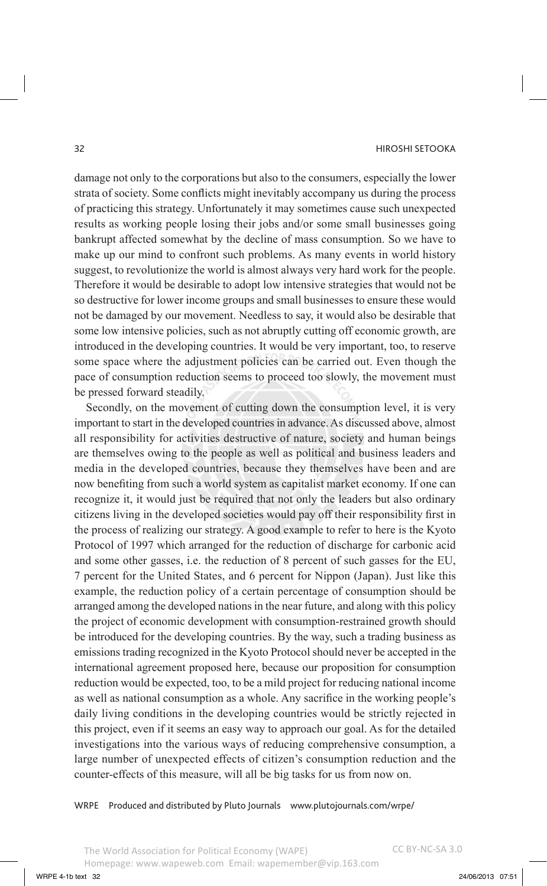damage not only to the corporations but also to the consumers, especially the lower strata of society. Some conflicts might inevitably accompany us during the process of practicing this strategy. Unfortunately it may sometimes cause such unexpected results as working people losing their jobs and/or some small businesses going bankrupt affected somewhat by the decline of mass consumption. So we have to make up our mind to confront such problems. As many events in world history suggest, to revolutionize the world is almost always very hard work for the people. Therefore it would be desirable to adopt low intensive strategies that would not be so destructive for lower income groups and small businesses to ensure these would not be damaged by our movement. Needless to say, it would also be desirable that some low intensive policies, such as not abruptly cutting off economic growth, are introduced in the developing countries. It would be very important, too, to reserve some space where the adjustment policies can be carried out. Even though the pace of consumption reduction seems to proceed too slowly, the movement must be pressed forward steadily.

Secondly, on the movement of cutting down the consumption level, it is very important to start in the developed countries in advance. As discussed above, almost all responsibility for activities destructive of nature, society and human beings are themselves owing to the people as well as political and business leaders and media in the developed countries, because they themselves have been and are now benefiting from such a world system as capitalist market economy. If one can recognize it, it would just be required that not only the leaders but also ordinary citizens living in the developed societies would pay off their responsibility first in the process of realizing our strategy. A good example to refer to here is the Kyoto Protocol of 1997 which arranged for the reduction of discharge for carbonic acid and some other gasses, i.e. the reduction of 8 percent of such gasses for the EU, 7 percent for the United States, and 6 percent for Nippon (Japan). Just like this example, the reduction policy of a certain percentage of consumption should be arranged among the developed nations in the near future, and along with this policy the project of economic development with consumption-restrained growth should be introduced for the developing countries. By the way, such a trading business as emissions trading recognized in the Kyoto Protocol should never be accepted in the international agreement proposed here, because our proposition for consumption reduction would be expected, too, to be a mild project for reducing national income as well as national consumption as a whole. Any sacrifice in the working people's daily living conditions in the developing countries would be strictly rejected in this project, even if it seems an easy way to approach our goal. As for the detailed investigations into the various ways of reducing comprehensive consumption, a large number of unexpected effects of citizen's consumption reduction and the counter-effects of this measure, will all be big tasks for us from now on.

WRPE Produced and distributed by Pluto Journals www.plutojournals.com/wrpe/

The World Association for Political Economy (WAPE) Homepage: www.wapeweb.com Email: wapemember@vip.163.com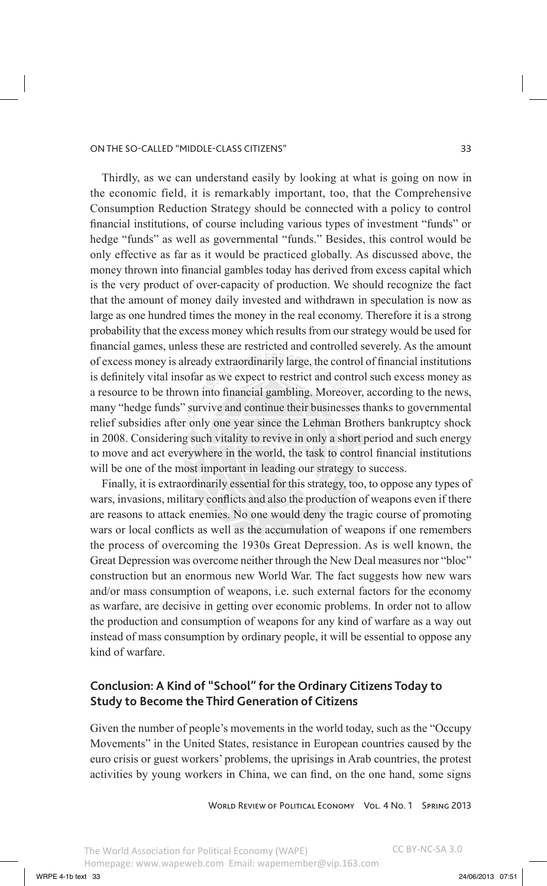Thirdly, as we can understand easily by looking at what is going on now in the economic field, it is remarkably important, too, that the Comprehensive Consumption Reduction Strategy should be connected with a policy to control financial institutions, of course including various types of investment "funds" or hedge "funds" as well as governmental "funds." Besides, this control would be only effective as far as it would be practiced globally. As discussed above, the money thrown into financial gambles today has derived from excess capital which is the very product of over-capacity of production. We should recognize the fact that the amount of money daily invested and withdrawn in speculation is now as large as one hundred times the money in the real economy. Therefore it is a strong probability that the excess money which results from our strategy would be used for financial games, unless these are restricted and controlled severely. As the amount of excess money is already extraordinarily large, the control of financial institutions is definitely vital insofar as we expect to restrict and control such excess money as a resource to be thrown into financial gambling. Moreover, according to the news, many "hedge funds" survive and continue their businesses thanks to governmental relief subsidies after only one year since the Lehman Brothers bankruptcy shock in 2008. Considering such vitality to revive in only a short period and such energy to move and act everywhere in the world, the task to control financial institutions will be one of the most important in leading our strategy to success.

Finally, it is extraordinarily essential for this strategy, too, to oppose any types of wars, invasions, military conflicts and also the production of weapons even if there are reasons to attack enemies. No one would deny the tragic course of promoting wars or local conflicts as well as the accumulation of weapons if one remembers the process of overcoming the 1930s Great Depression. As is well known, the Great Depression was overcome neither through the New Deal measures nor "bloc" construction but an enormous new World War. The fact suggests how new wars and/or mass consumption of weapons, i.e. such external factors for the economy as warfare, are decisive in getting over economic problems. In order not to allow the production and consumption of weapons for any kind of warfare as a way out instead of mass consumption by ordinary people, it will be essential to oppose any kind of warfare.

## **Conclusion: A Kind of "School" for the Ordinary Citizens Today to Study to Become the Third Generation of Citizens**

Given the number of people's movements in the world today, such as the "Occupy Movements" in the United States, resistance in European countries caused by the euro crisis or guest workers' problems, the uprisings in Arab countries, the protest activities by young workers in China, we can find, on the one hand, some signs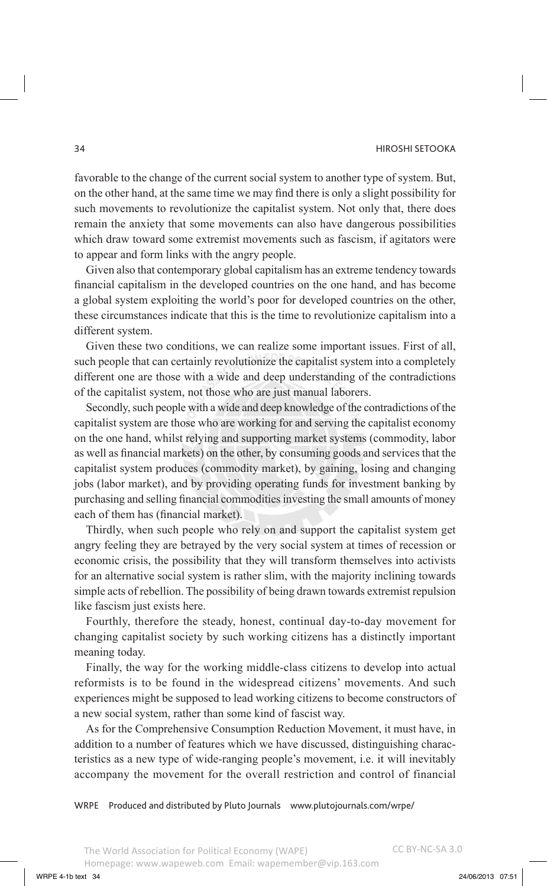favorable to the change of the current social system to another type of system. But, on the other hand, at the same time we may find there is only a slight possibility for such movements to revolutionize the capitalist system. Not only that, there does remain the anxiety that some movements can also have dangerous possibilities which draw toward some extremist movements such as fascism, if agitators were to appear and form links with the angry people.

Given also that contemporary global capitalism has an extreme tendency towards financial capitalism in the developed countries on the one hand, and has become a global system exploiting the world's poor for developed countries on the other, these circumstances indicate that this is the time to revolutionize capitalism into a different system.

Given these two conditions, we can realize some important issues. First of all, such people that can certainly revolutionize the capitalist system into a completely different one are those with a wide and deep understanding of the contradictions of the capitalist system, not those who are just manual laborers.

Secondly, such people with a wide and deep knowledge of the contradictions of the capitalist system are those who are working for and serving the capitalist economy on the one hand, whilst relying and supporting market systems (commodity, labor as well as financial markets) on the other, by consuming goods and services that the capitalist system produces (commodity market), by gaining, losing and changing jobs (labor market), and by providing operating funds for investment banking by purchasing and selling financial commodities investing the small amounts of money each of them has (financial market).

Thirdly, when such people who rely on and support the capitalist system get angry feeling they are betrayed by the very social system at times of recession or economic crisis, the possibility that they will transform themselves into activists for an alternative social system is rather slim, with the majority inclining towards simple acts of rebellion. The possibility of being drawn towards extremist repulsion like fascism just exists here.

Fourthly, therefore the steady, honest, continual day-to-day movement for changing capitalist society by such working citizens has a distinctly important meaning today.

Finally, the way for the working middle-class citizens to develop into actual reformists is to be found in the widespread citizens' movements. And such experiences might be supposed to lead working citizens to become constructors of a new social system, rather than some kind of fascist way.

As for the Comprehensive Consumption Reduction Movement, it must have, in addition to a number of features which we have discussed, distinguishing characteristics as a new type of wide-ranging people's movement, i.e. it will inevitably accompany the movement for the overall restriction and control of financial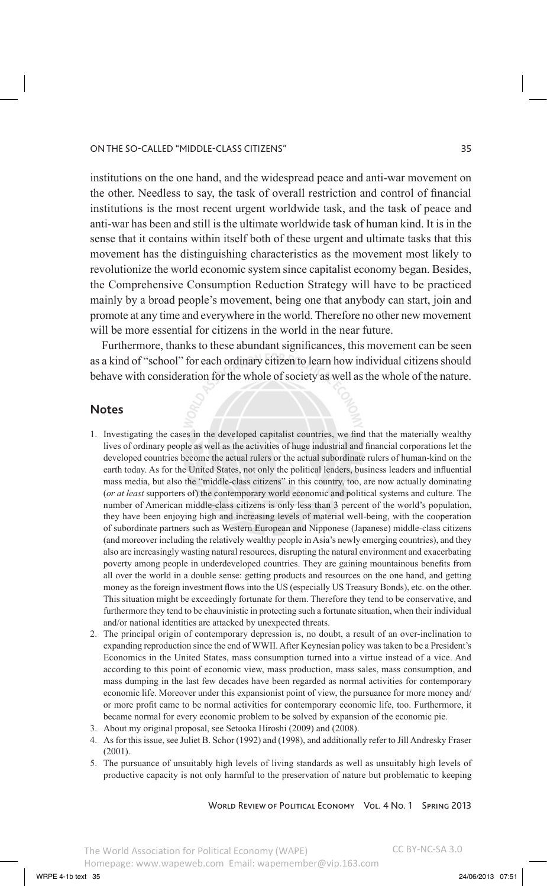institutions on the one hand, and the widespread peace and anti-war movement on the other. Needless to say, the task of overall restriction and control of financial institutions is the most recent urgent worldwide task, and the task of peace and anti-war has been and still is the ultimate worldwide task of human kind. It is in the sense that it contains within itself both of these urgent and ultimate tasks that this movement has the distinguishing characteristics as the movement most likely to revolutionize the world economic system since capitalist economy began. Besides, the Comprehensive Consumption Reduction Strategy will have to be practiced mainly by a broad people's movement, being one that anybody can start, join and promote at any time and everywhere in the world. Therefore no other new movement will be more essential for citizens in the world in the near future.

Furthermore, thanks to these abundant significances, this movement can be seen as a kind of "school" for each ordinary citizen to learn how individual citizens should behave with consideration for the whole of society as well as the whole of the nature.

### **Notes**

- 1. Investigating the cases in the developed capitalist countries, we find that the materially wealthy lives of ordinary people as well as the activities of huge industrial and financial corporations let the developed countries become the actual rulers or the actual subordinate rulers of human-kind on the earth today. As for the United States, not only the political leaders, business leaders and influential mass media, but also the "middle-class citizens" in this country, too, are now actually dominating (*or at least* supporters of) the contemporary world economic and political systems and culture. The number of American middle-class citizens is only less than 3 percent of the world's population, they have been enjoying high and increasing levels of material well-being, with the cooperation of subordinate partners such as Western European and Nipponese (Japanese) middle-class citizens (and moreover including the relatively wealthy people in Asia's newly emerging countries), and they also are increasingly wasting natural resources, disrupting the natural environment and exacerbating poverty among people in underdeveloped countries. They are gaining mountainous benefits from all over the world in a double sense: getting products and resources on the one hand, and getting money as the foreign investment flows into the US (especially US Treasury Bonds), etc. on the other. This situation might be exceedingly fortunate for them. Therefore they tend to be conservative, and furthermore they tend to be chauvinistic in protecting such a fortunate situation, when their individual and/or national identities are attacked by unexpected threats.
- 2. The principal origin of contemporary depression is, no doubt, a result of an over-inclination to expanding reproduction since the end of WWII. After Keynesian policy was taken to be a President's Economics in the United States, mass consumption turned into a virtue instead of a vice. And according to this point of economic view, mass production, mass sales, mass consumption, and mass dumping in the last few decades have been regarded as normal activities for contemporary economic life. Moreover under this expansionist point of view, the pursuance for more money and/ or more profit came to be normal activities for contemporary economic life, too. Furthermore, it became normal for every economic problem to be solved by expansion of the economic pie.
- 3. About my original proposal, see Setooka Hiroshi (2009) and (2008).
- 4. As for this issue, see Juliet B. Schor (1992) and (1998), and additionally refer to Jill Andresky Fraser (2001).
- 5. The pursuance of unsuitably high levels of living standards as well as unsuitably high levels of productive capacity is not only harmful to the preservation of nature but problematic to keeping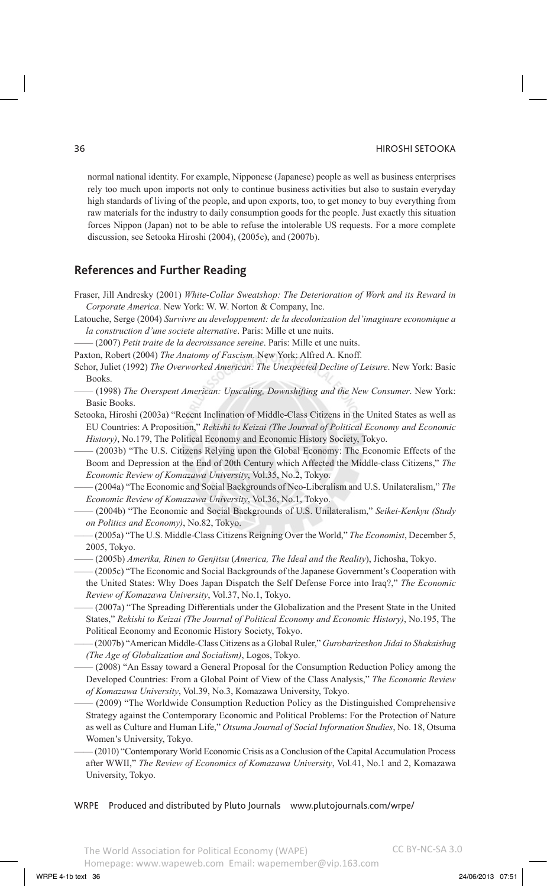normal national identity. For example, Nipponese (Japanese) people as well as business enterprises rely too much upon imports not only to continue business activities but also to sustain everyday high standards of living of the people, and upon exports, too, to get money to buy everything from raw materials for the industry to daily consumption goods for the people. Just exactly this situation forces Nippon (Japan) not to be able to refuse the intolerable US requests. For a more complete discussion, see Setooka Hiroshi (2004), (2005c), and (2007b).

### **References and Further Reading**

- Fraser, Jill Andresky (2001) *White-Collar Sweatshop: The Deterioration of Work and its Reward in Corporate America*. New York: W. W. Norton & Company, Inc.
- Latouche, Serge (2004) *Survivre au developpement: de la decolonization del'imaginare economique a la construction d'une societe alternative*. Paris: Mille et une nuits.
- —— (2007) *Petit traite de la decroissance sereine*. Paris: Mille et une nuits.
- Paxton, Robert (2004) *The Anatomy of Fascism*. New York: Alfred A. Knoff.

Schor, Juliet (1992) *The Overworked American: The Unexpected Decline of Leisure*. New York: Basic **Books** 

- —— (1998) *The Overspent American: Upscaling, Downshifting and the New Consumer*. New York: Basic Books.
- Setooka, Hiroshi (2003a) "Recent Inclination of Middle-Class Citizens in the United States as well as EU Countries: A Proposition," *Rekishi to Keizai (The Journal of Political Economy and Economic History)*, No.179, The Political Economy and Economic History Society, Tokyo.

—— (2003b) "The U.S. Citizens Relying upon the Global Economy: The Economic Effects of the Boom and Depression at the End of 20th Century which Affected the Middle-class Citizens," *The Economic Review of Komazawa University*, Vol.35, No.2, Tokyo.

—— (2004a) "The Economic and Social Backgrounds of Neo-Liberalism and U.S. Unilateralism," *The Economic Review of Komazawa University*, Vol.36, No.1, Tokyo.

—— (2004b) "The Economic and Social Backgrounds of U.S. Unilateralism," *Seikei-Kenkyu (Study on Politics and Economy)*, No.82, Tokyo.

- —— (2005a) "The U.S. Middle-Class Citizens Reigning Over the World," *The Economist*, December 5, 2005, Tokyo.
- —— (2005b) *Amerika, Rinen to Genjitsu* (*America, The Ideal and the Reality*), Jichosha, Tokyo.

—— (2005c) "The Economic and Social Backgrounds of the Japanese Government's Cooperation with the United States: Why Does Japan Dispatch the Self Defense Force into Iraq?," *The Economic Review of Komazawa University*, Vol.37, No.1, Tokyo.

- —— (2007a) "The Spreading Differentials under the Globalization and the Present State in the United States," *Rekishi to Keizai (The Journal of Political Economy and Economic History)*, No.195, The Political Economy and Economic History Society, Tokyo.
- —— (2007b) "American Middle-Class Citizens as a Global Ruler," *Gurobarizeshon Jidai to Shakaishug (The Age of Globalization and Socialism)*, Logos, Tokyo.
- —— (2008) "An Essay toward a General Proposal for the Consumption Reduction Policy among the Developed Countries: From a Global Point of View of the Class Analysis," *The Economic Review of Komazawa University*, Vol.39, No.3, Komazawa University, Tokyo.
- —— (2009) "The Worldwide Consumption Reduction Policy as the Distinguished Comprehensive Strategy against the Contemporary Economic and Political Problems: For the Protection of Nature as well as Culture and Human Life," *Otsuma Journal of Social Information Studies*, No. 18, Otsuma Women's University, Tokyo.
- —— (2010) "Contemporary World Economic Crisis as a Conclusion of the Capital Accumulation Process after WWII," *The Review of Economics of Komazawa University*, Vol.41, No.1 and 2, Komazawa University, Tokyo.